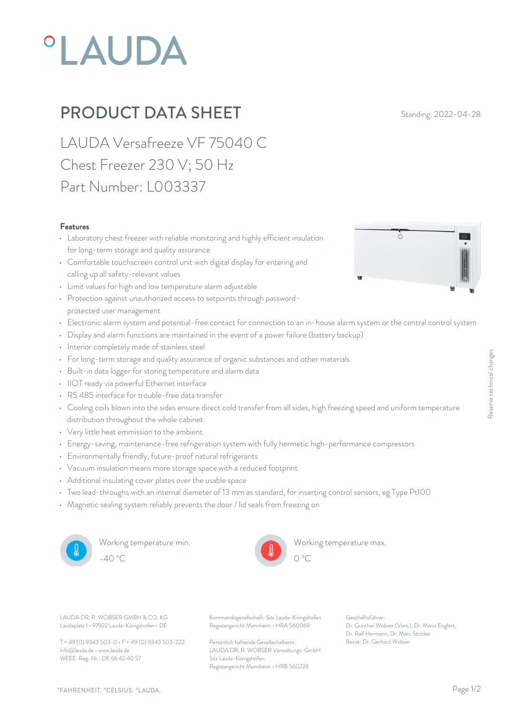# **°LAUDA**

## **PRODUCT DATA SHEET** Standing: 2022-04-28

LAUDA Versafreeze VF 75040 C Chest Freezer 230 V; 50 Hz Part Number: L003337

#### Features

- Laboratory chest freezer with reliable monitoring and highly efficient insulation for long-term storage and quality assurance
- Comfortable touchscreen control unit with digital display for entering and calling up all safety-relevant values
- Limit values for high and low temperature alarm adjustable
- Protection against unauthorized access to setpoints through passwordprotected user management
- Electronic alarm system and potential-free contact for connection to an in-house alarm system or the central control system
- Display and alarm functions are maintained in the event of a power failure (battery backup)
- Interior completely made of stainless steel
- For long-term storage and quality assurance of organic substances and other materials
- Built-in data logger for storing temperature and alarm data
- IIOT ready via powerful Ethernet interface
- RS 485 interface for trouble-free data transfer
- For long-term storage and quality assurance of organic substances and other materials<br>
 Built-in data logger for storing temperature and alarm data<br>
 IIOT ready via powerful Ethernet interface<br>
 RS 485 interface for t distribution throughout the whole cabinet
- Very little heat emmission to the ambient
- Energy-saving, maintenance-free refrigeration system with fully hermetic high-performance compressors
- Environmentally friendly, future-proof natural refrigerants
- Vacuum insulation means more storage space with a reduced footprint
- Additional insulating cover plates over the usable space
- Two lead-throughs with an internal diameter of 13 mm as standard, for inserting control sensors, eg Type Pt100
- Magnetic sealing system reliably prevents the door / lid seals from freezing on



Working temperature min. -40 °C 0 °C



Working temperature max.

Laudaplatz 1 • 97922 Lauda-Königshofen • DE

T + 49 (0) 9343 503-0 • F + 49 (0) 9343 503-222 info@lauda.de • www.lauda.de WEEE-Reg-Nr.: DE 66 42 40 57

LAUDA DR. R. WOBSER GMBH & CO. KG Kommanditgesellschaft: Sitz Lauda-Königshofen Geschäftsführer: Registergericht Mannheim • HRA 560069

> Persönlich haftende Gesellschafterin: Beirat: Dr. Gerhard Wobse LAUDA DR. R. WOBSER Verwaltungs-GmbH Sitz Lauda-Königshofen Registergericht Mannheim • HRB 560226

Geschäftsführer: Dr. Gunther Wobser (Vors.), Dr. Mario Englert, Dr. Ralf Hermann, Dr. Marc Stricker Being speed and uniform temperature<br>
The server of the server of the server of the server of the server<br>
Server Constants, eg Type Pt100<br>
For Server Reserved Server (Vors.), Dr. Mario Englert,<br>
Dr. Genther Wobser (Vors.),